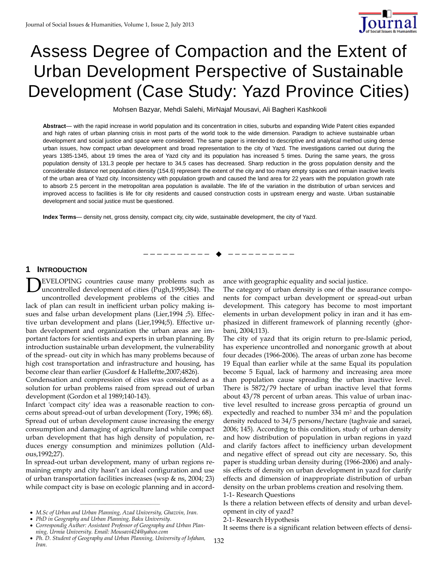

# Assess Degree of Compaction and the Extent of Urban Development Perspective of Sustainable Development (Case Study: Yazd Province Cities)

Mohsen Bazyar, Mehdi Salehi, MirNajaf Mousavi, Ali Bagheri Kashkooli

**Abstract**— with the rapid increase in world population and its concentration in cities, suburbs and expanding Wide Patent cities expanded and high rates of urban planning crisis in most parts of the world took to the wide dimension. Paradigm to achieve sustainable urban development and social justice and space were considered. The same paper is intended to descriptive and analytical method using dense urban issues, how compact urban development and broad representation to the city of Yazd. The investigations carried out during the years 1385-1345, about 19 times the area of Yazd city and its population has increased 5 times. During the same years, the gross population density of 131.3 people per hectare to 34.5 cases has decreased. Sharp reduction in the gross population density and the considerable distance net population density (154.6) represent the extent of the city and too many empty spaces and remain inactive levels of the urban area of Yazd city. Inconsistency with population growth and caused the land area for 22 years with the population growth rate to absorb 2.5 percent in the metropolitan area population is available. The life of the variation in the distribution of urban services and improved access to facilities is life for city residents and caused construction costs in upstream energy and waste. Urban sustainable development and social justice must be questioned.

—————————— ——————————

**Index Terms**— density net, gross density, compact city, city wide, sustainable development, the city of Yazd.

## **1 INTRODUCTION**

EVELOPING countries cause many problems such as uncontrolled development of cities (Pugh,1995;384). The uncontrolled development problems of the cities and lack of plan can result in inefficient urban policy making issues and false urban development plans (Lier,1994 ;5). Effective urban development and plans (Lier,1994;5). Effective urban development and organization the urban areas are important factors for scientists and experts in urban planning. By introduction sustainable urban development, the vulnerability of the spread- out city in which has many problems because of high cost transportation and infrastructure and housing, has become clear than earlier (Gusdorf & Halleftte,2007;4826). D

Condensation and compression of cities was considered as a solution for urban problems raised from spread out of urban development (Gordon et al 1989;140-143).

Infarct 'compact city' idea was a reasonable reaction to concerns about spread-out of urban development (Tory, 1996; 68). Spread out of urban development cause increasing the energy consumption and damaging of agriculture land while compact urban development that has high density of population, reduces energy consumption and minimizes pollution (Aldous,1992;27).

In spread-out urban development, many of urban regions remaining empty and city hasn't an ideal configuration and use of urban transportation facilities increases (wsp & ns, 2004; 23) while compact city is base on ecologic planning and in accord-

————————————————

ance with geographic equality and social justice.

The category of urban density is one of the assurance components for compact urban development or spread-out urban development. This category has become to most important elements in urban development policy in iran and it has emphasized in different framework of planning recently (ghorbani, 2004;113).

The city of yazd that its origin return to pre-Islamic period, has experience uncontrolled and nonorganic growth at about four decades (1966-2006). The areas of urban zone has become 19 Equal than earlier while at the same Equal its population become 5 Equal, lack of harmony and increasing area more than population cause spreading the urban inactive level. There is 5872/79 hectare of urban inactive level that forms about 43/78 percent of urban areas. This value of urban inactive level resulted to increase gross percaptia of ground un expectedly and reached to number 334 m<sup>2</sup> and the population density reduced to 34/5 persons/hectare (taghvaie and saraei, 2006; 145). According to this condition, study of urban density and how distribution of population in urban regions in yazd and clarify factors affect to inefficiency urban development and negative effect of spread out city are necessary. So, this paper is studding urban density during (1966-2006) and analysis effects of density on urban development in yazd for clarify effects and dimension of inappropriate distribution of urban density on the urban problems creation and resolving them.

Is there a relation between effects of density and urban development in city of yazd?

It seems there is a significant relation between effects of densi-

*M.Sc of Urban and Urban Planning, Azad University, Ghazvin, Iran.*

*PhD in Geography and Urban Planning, Baku University.*

*Correspondig Auther: Assistant Professor of Geography and Urban Planning, Urmia University. Email: Mousavi424@yahoo.com*

*Ph. D. Student of Geography and Urban Planning, University of Isfahan, Iran.*

<sup>1-1-</sup> Research Questions

<sup>2-1-</sup> Research Hypothesis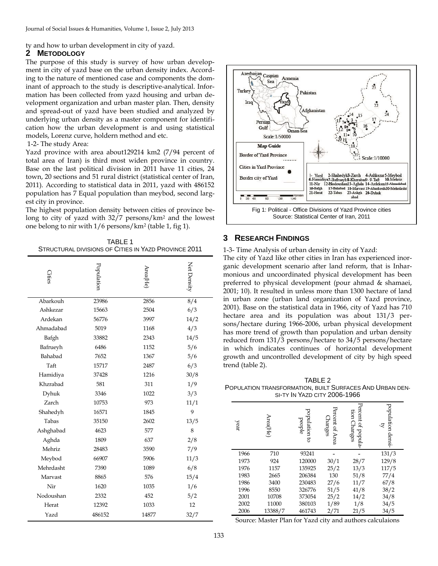# ty and how to urban development in city of yazd.

## **2 METODOLOGY**

The purpose of this study is survey of how urban development in city of yazd base on the urban density index. According to the nature of mentioned case and components the dominant of approach to the study is descriptive-analytical. Information has been collected from yazd housing and urban development organization and urban master plan. Then, density and spread-out of yazd have been studied and analyzed by underlying urban density as a master component for identification how the urban development is and using statistical models, Lorenz curve, holdern method and etc.

#### 1-2- The study Area:

Yazd province with area about129214 km2 (7/94 percent of total area of Iran) is third most widen province in country. Base on the last political division in 2011 have 11 cities, 24 town, 20 sections and 51 rural district (statistical center of Iran, 2011). According to statistical data in 2011, yazd with 486152 population has 7 Equal population than meybod, second largest city in province.

The highest population density between cities of province belong to city of yazd with 32/7 persons/km<sup>2</sup> and the lowest one belong to nir with 1/6 persons/km<sup>2</sup> (table 1, fig 1).

TABLE 1 STRUCTURAL DIVISIONS OF CITIES IN YAZD PROVINCE 2011

| Cities    | Population | Area(He) | Net Density              |
|-----------|------------|----------|--------------------------|
| Abarkouh  | 23986      | 2856     | $\overline{\frac{8}{4}}$ |
| Ashkezar  | 15663      | 2504     | 6/3                      |
| Ardekan   | 56776      | 3997     | 14/2                     |
| Ahmadabad | 5019       | 1168     | 4/3                      |
| Bafgh     | 33882      | 2343     | 14/5                     |
| Bafrueyh  | 6486       | 1152     | 5/6                      |
| Bahabad   | 7652       | 1367     | 5/6                      |
| Taft      | 15717      | 2487     | 6/3                      |
| Hamidiya  | 37428      | 1216     | 30/8                     |
| Khzrabad  | 581        | 311      | 1/9                      |
| Dyhuk     | 3346       | 1022     | 3/3                      |
| Zarch     | 10753      | 973      | 11/1                     |
| Shahedyh  | 16571      | 1845     | 9                        |
| Tabas     | 35150      | 2602     | 13/5                     |
| Ashghabad | 4623       | 577      | 8                        |
| Aghda     | 1809       | 637      | 2/8                      |
| Mehriz    | 28483      | 3590     | 7/9                      |
| Meybod    | 66907      | 5906     | 11/3                     |
| Mehrdasht | 7390       | 1089     | 6/8                      |
| Marvast   | 8865       | 576      | 15/4                     |
| Nir       | 1620       | 1035     | 1/6                      |
| Nodoushan | 2332       | 452      | 5/2                      |
| Herat     | 12392      | 1033     | 12                       |
| Yazd      | 486152     | 14877    | 32/7                     |



## **3 RESEARCH FINDINGS**

1-3- Time Analysis of urban density in city of Yazd:

The city of Yazd like other cities in Iran has experienced inorganic development scenario after land reform, that is Inharmonious and uncoordinated physical development has been preferred to physical development (pour ahmad & shamaei, 2001; 10). It resulted in unless more than 1300 hectare of land in urban zone (urban land organization of Yazd province, 2001). Base on the statistical data in 1966, city of Yazd has 710 hectare area and its population was about 131/3 persons/hectare during 1966-2006, urban physical development has more trend of growth than population and urban density reduced from 131/3 persons/hectare to 34/5 persons/hectare in which indicates continues of horizontal development growth and uncontrolled development of city by high speed trend (table 2).

TABLE 2 POPULATION TRANSFORMATION, BUILT SURFACES AND URBAN DEN-SI-TY IN YAZD CITY 2006-1966

| year | Area(He) | population to<br>beople | Percent of Area<br><b>Changes</b> | Percent of popula-<br>tion Changes | population densi-<br>হ |
|------|----------|-------------------------|-----------------------------------|------------------------------------|------------------------|
| 1966 | 710      | 93241                   |                                   |                                    | 131/3                  |
| 1973 | 924      | 120000                  | 30/1                              | 28/7                               | 129/8                  |
| 1976 | 1157     | 135925                  | 25/2                              | 13/3                               | 117/5                  |
| 1983 | 2665     | 206384                  | 130                               | 51/8                               | 77/4                   |
| 1986 | 3400     | 230483                  | 27/6                              | 11/7                               | 67/8                   |
| 1996 | 8550     | 326776                  | 51/5                              | 41/8                               | 38/2                   |
| 2001 | 10708    | 373054                  | 25/2                              | 14/2                               | 34/8                   |
| 2002 | 11000    | 380103                  | 1/89                              | 1/8                                | 34/5                   |
| 2006 | 13388/7  | 461743                  | 2/71                              | 21/5                               | 34/5                   |

Source: Master Plan for Yazd city and authors calculaions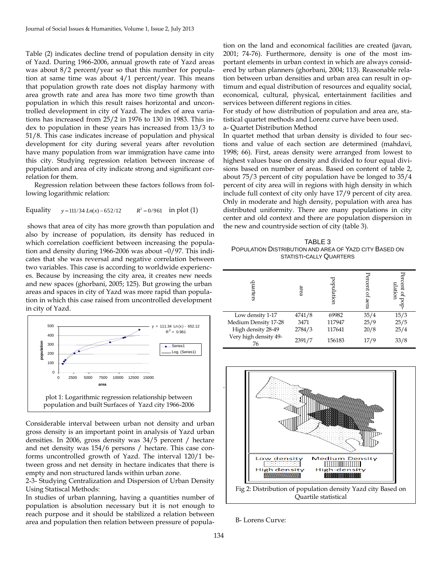Table (2) indicates decline trend of population density in city of Yazd. During 1966-2006, annual growth rate of Yazd areas was about 8/2 percent/year so that this number for population at same time was about 4/1 percent/year. This means that population growth rate does not display harmony with area growth rate and area has more two time growth than population in which this result raises horizontal and uncontrolled development in city of Yazd. The index of area variations has increased from 25/2 in 1976 to 130 in 1983. This index to population in these years has increased from 13/3 to 51/8. This case indicates increase of population and physical development for city during several years after revolution have many population from war immigration have came into this city. Studying regression relation between increase of population and area of city indicate strong and significant correlation for them.

Regression relation between these factors follows from following logarithmic relation:

Equality 
$$
y = 111/34 \text{ Ln}(x) - 652/12
$$
  $R^2 = 0/961$  in plot (1)

shows that area of city has more growth than population and also by increase of population, its density has reduced in which correlation coefficient between increasing the population and density during 1966-2006 was about –0/97. This indicates that she was reversal and negative correlation between two variables. This case is according to worldwide experiences. Because by increasing the city area, it creates new needs and new spaces (ghorbani, 2005; 125). But growing the urban areas and spaces in city of Yazd was more rapid than population in which this case raised from uncontrolled development in city of Yazd.



Considerable interval between urban not density and urban gross density is an important point in analysis of Yazd urban densities. In 2006, gross density was 34/5 percent / hectare and net density was 154/6 persons / hectare. This case conforms uncontrolled growth of Yazd. The interval 120/1 between gross and net density in hectare indicates that there is empty and non structured lands within urban zone.

2-3- Studying Centralization and Dispersion of Urban Density Using Statiscal Methods:

In studies of urban planning, having a quantities number of population is absolution necessary but it is not enough to reach purpose and it should be stabilized a relation between area and population then relation between pressure of popula-

tion on the land and economical facilities are created (javan, 2001; 74-76). Furthermore, density is one of the most important elements in urban context in which are always considered by urban planners (ghorbani, 2004; 113). Reasonable relation between urban densities and urban area can result in optimum and equal distribution of resources and equality social, economical, cultural, physical, entertainment facilities and services between different regions in cities.

For study of how distribution of population and area are, statistical quartet methods and Lorenz curve have been used. a- Quartet Distribution Method

In quartet method that urban density is divided to four sections and value of each section are determined (mahdavi, 1998; 66). First, areas density were arranged from lowest to highest values base on density and divided to four equal divisions based on number of areas. Based on content of table 2, about 75/3 percent of city population have be longed to 35/4 percent of city area will in regions with high density in which include full context of city only have 17/9 percent of city area.

Only in moderate and high density, population with area has distributed uniformity. There are many populations in city center and old context and there are population dispersion in the new and countryside section of city (table 3).

TABLE 3 POPULATION DISTRIBUTION AND AREA OF YAZD CITY BASED ON STATISTI-CALLY QUARTERS

| quarters                    | area   | population | Percent<br>of aera | ercent of<br>ulation |
|-----------------------------|--------|------------|--------------------|----------------------|
| Low density 1-17            | 4741/8 | 69982      | 35/4               | 15/3                 |
| Medium Density 17-28        | 3471   | 117947     | 25/9               | 25/5                 |
| High density 28-49          | 2784/3 | 117641     | 20/8               | 25/4                 |
| Very high density 49-<br>76 | 2391/7 | 156183     | 17/9               | 33/8                 |



B- Lorens Curve: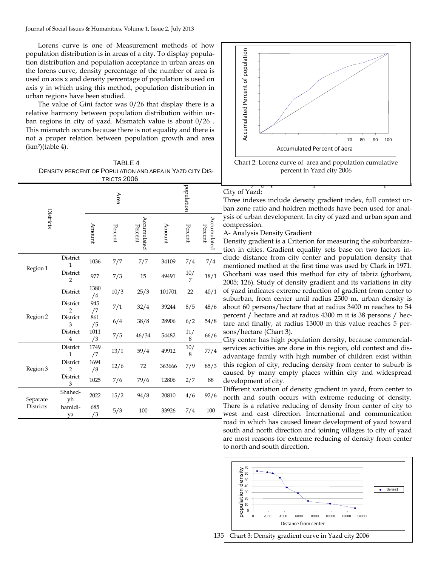Lorens curve is one of Measurement methods of how population distribution is in areas of a city. To display population distribution and population acceptance in urban areas on the lorens curve, density percentage of the number of area is used on axis x and density percentage of population is used on axis y in which using this method, population distribution in urban regions have been studied.

The value of Gini factor was 0/26 that display there is a relative harmony between population distribution within urban regions in city of yazd. Mismatch value is about 0/26 . This mismatch occurs because there is not equality and there is not a proper relation between population growth and area (km<sup>2</sup> )(table 4).

| TABLE 4                                                  |
|----------------------------------------------------------|
| DENSITY PERCENT OF POPULATION AND AREA IN YAZD CITY DIS- |
| TRICTS 2006                                              |

| Districts                    |                            | Area       |         | population             |        |            |                        |
|------------------------------|----------------------------|------------|---------|------------------------|--------|------------|------------------------|
|                              |                            | Amount     | Percent | Accumulated<br>Percent | Amount | Percent    | Accumulated<br>Percent |
|                              | District<br>$\mathbf{1}$   | 1036       | 7/7     | 7/7                    | 34109  | 7/4        | 7/4                    |
| Region 1                     | District<br>$\overline{2}$ | 977        | 7/3     | 15                     | 49491  | 10/<br>7   | 18/1                   |
|                              | District                   | 1380<br>/4 | 10/3    | 25/3                   | 101701 | 22         | 40/1                   |
|                              | District<br>$\overline{2}$ | 945<br>/7  | 7/1     | 32/4                   | 39244  | 8/5        | 48/6                   |
| Region 2                     | District<br>3              | 861<br>/5  | 6/4     | 38/8                   | 28906  | 6/2        | 54/8                   |
|                              | District<br>$\overline{4}$ | 1011<br>/3 | 7/5     | 46/34                  | 54482  | 11/<br>8   | 66/6                   |
|                              | District<br>$\mathbf{1}$   | 1749<br>/7 | 13/1    | 59/4                   | 49912  | $10/$<br>8 | 77/4                   |
| Region 3                     | District<br>$\overline{2}$ | 1694<br>/8 | 12/6    | 72                     | 363666 | 7/9        | 85/3                   |
|                              | District<br>3              | 1025       | 7/6     | 79/6                   | 12806  | 2/7        | 88                     |
| Separate<br><b>Districts</b> | Shahed-<br>yh              | 2022       | 15/2    | 94/8                   | 20810  | 4/6        | 92/6                   |
|                              | hamidi-<br>ya              | 685<br>/3  | 5/3     | 100                    | 33926  | 7/4        | 100                    |



#### City of Yazd:

Three indexes include density gradient index, full context urban zone ratio and holdren methods have been used for analysis of urban development. In city of yazd and urban span and compression.

#### A- Analysis Density Gradient

Density gradient is a Criterion for measuring the suburbanization in cities. Gradient equality sets base on two factors include distance from city center and population density that mentioned method at the first time was used by Clark in 1971. Ghorbani was used this method for city of tabriz (ghorbani, 2005; 126). Study of density gradient and its variations in city of yazd indicates extreme reduction of gradient from center to suburban, from center until radius 2500 m, urban density is about 60 persons/hectare that at radius 3400 m reaches to 54 percent / hectare and at radius 4300 m it is 38 persons / hectare and finally, at radius 13000 m this value reaches 5 persons/hectare (Chart 3).

City center has high population density, because commercialservices activities are done in this region, old context and disadvantage family with high number of children exist within this region of city, reducing density from center to suburb is caused by many empty places within city and widespread development of city.

Different variation of density gradient in yazd, from center to north and south occurs with extreme reducing of density. There is a relative reducing of density from center of city to west and east direction. International and communication road in which has caused linear development of yazd toward south and north direction and joining villages to city of yazd are most reasons for extreme reducing of density from center to north and south direction.

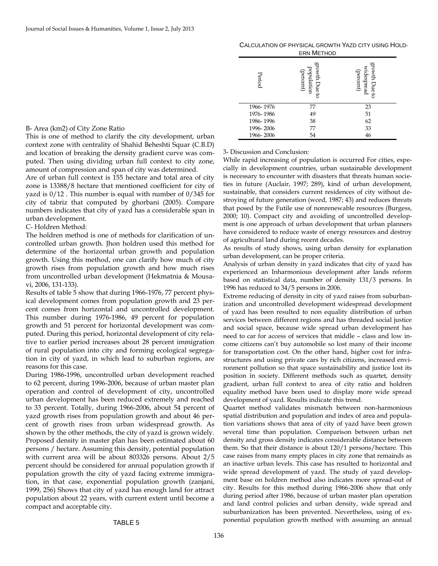| CALCULATION OF PHYSICAL GROWTH YAZD CITY USING HOLD- |  |
|------------------------------------------------------|--|
| <b>ERN METHOD</b>                                    |  |

| Period    | proveh<br>population<br>(percent)<br>hue to | growth<br>widespread<br>(percent)<br>Due<br>5 |
|-----------|---------------------------------------------|-----------------------------------------------|
| 1966-1976 | 77                                          | 23                                            |
| 1976-1986 | 49                                          | 51                                            |
| 1986-1996 | 38                                          | 62                                            |
| 1996-2006 | 77                                          | 33                                            |
| 1966-2006 | 54                                          | 46                                            |

#### B- Area (km2) of City Zone Ratio

This is one of method to clarify the city development, urban context zone with centrality of Shahid Beheshti Squar (C.B.D) and location of breaking the density gradient curve was computed. Then using dividing urban full context to city zone, amount of compression and span of city was determined.

Are of urban full context is 155 hectare and total area of city zone is 13388/8 hectare that mentioned coefficient for city of yazd is 0/12 . This number is equal with number of 0/345 for city of tabriz that computed by ghorbani (2005). Compare numbers indicates that city of yazd has a considerable span in urban development.

### C- Holdren Method:

The holdren method is one of methods for clarification of uncontrolled urban growth. Jhon holdren used this method for determine of the horizontal urban growth and population growth. Using this method, one can clarify how much of city growth rises from population growth and how much rises from uncontrolled urban development (Hekmatnia & Mousavi, 2006, 131-133).

Results of table 5 show that during 1966-1976, 77 percent physical development comes from population growth and 23 percent comes from horizontal and uncontrolled development. This number during 1976-1986, 49 percent for population growth and 51 percent for horizontal development was computed. During this period, horizontal development of city relative to earlier period increases about 28 percent immigration of rural population into city and forming ecological segregation in city of yazd, in which lead to suburban regions, are reasons for this case.

During 1986-1996, uncontrolled urban development reached to 62 percent, during 1996-2006, because of urban master plan operation and control of development of city, uncontrolled urban development has been reduced extremely and reached to 33 percent. Totally, during 1966-2006, about 54 percent of yazd growth rises from population growth and about 46 percent of growth rises from urban widespread growth. As shown by the other methods, the city of yazd is grown widely. Proposed density in master plan has been estimated about 60 persons / hectare. Assuming this density, potential population with current area will be about 803326 persons. About 2/5 percent should be considered for annual population growth if population growth the city of yazd facing extreme immigration, in that case, exponential population growth (zanjani, 1999, 256) Shows that city of yazd has enough land for attract population about 22 years, with current extent until become a compact and acceptable city.

#### 3- Discussion and Conclusion:

While rapid increasing of population is occurred For cities, especially in development countries, urban sustainable development is necessary to encounter with disasters that threats human societies in future (Auclair, 1997; 289), kind of urban development, sustainable, that considers current residences of city without destroying of future generation (wced, 1987; 43) and reduces threats that posed by the Futile use of nonrenewable resources (Burgess, 2000; 10). Compact city and avoiding of uncontrolled development is one approach of urban development that urban planners have considered to reduce waste of energy resources and destroy of agricultural land during recent decades.

As results of study shows, using urban density for explanation urban development, can be proper criteria.

Analysis of urban density in yazd indicates that city of yazd has experienced an Inharmonious development after lands reform based on statistical data, number of density 131/3 persons. In 1996 has reduced to 34/5 persons in 2006.

Extreme reducing of density in city of yazd raises from suburbanization and uncontrolled development widespread development of yazd has been resulted to non equality distribution of urban services between different regions and has threaded social justice and social space, because wide spread urban development has need to car for access of services that middle – class and low income citizens can't buy automobile so lost many of their income for transportation cost. On the other hand, higher cost for infrastructures and using private cars by rich citizens, increased environment pollution so that space sustainability and justice lost its position in society. Different methods such as quartet, density gradient, urban full context to area of city ratio and holdren equality method have been used to display more wide spread development of yazd. Results indicate this trend.

Quartet method validates mismatch between non-harmonious spatial distribution and population and index of area and population variations shows that area of city of yazd have been grown several time than population. Comparison between urban net density and gross density indicates considerable distance between them. So that their distance is about 120/1 persons/hectare. This case raises from many empty places in city zone that remainds as an inactive urban levels. This case has resulted to horizontal and wide spread development of yazd. The study of yazd development base on holdren method also indicates more spread-out of city. Results for this method during 1966-2006 show that only during period after 1986, because of urban master plan operation and land control policies and urban density, wide spread and suburbanization has been prevented. Nevertheless, using of exponential population growth method with assuming an annual